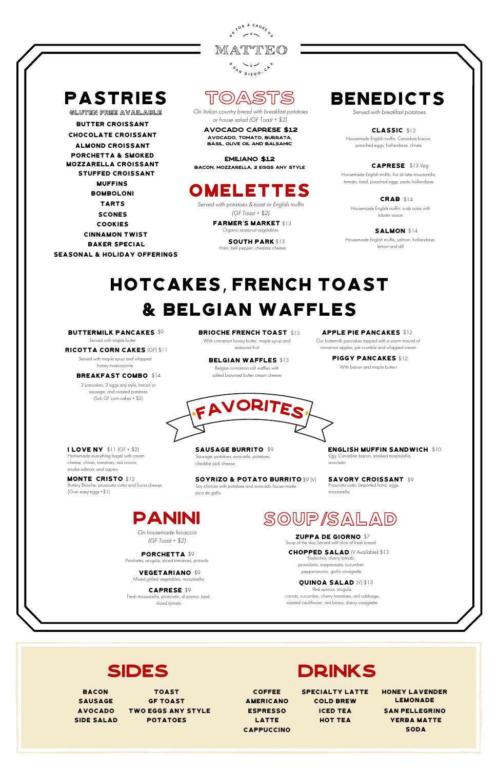

## pastries

GLUTEN FREE AVAILABLE

BOMBOLONI MUFFINS

**TARTS** 

## TOASTS

On Italian country bread with breakfast potatoes or house salad (GF Toast + \$2)

avocado caprese \$12 avocado, tomato, burrata, basil, olive oil and balsamic

emiliano \$12 bacon, Mozzarella, 2 eggs any style

## **OMELETTES**

Served with breakfast potatoes

SALMON \$14 Housemade English muffin, salmon, hollandaise, lemon and dill

classic \$12 Housemade English muffin, Canadian bacon, poached eggs, hollandaise, chives

caprese \$13 Veg Housemade English muffin, fior di latte mozzarella, tomato, basil, poached eggs, pesto hollandaise

PIGGY PANCAKES \$12 With bacon and maple butterr

crab \$14 Housemade English muffin, crab cake with lobster sauce

**BELGIAN WAFFLES \$13** Belgian cinnamon roll waffles with salted browned butter cream cheese

## hotcakes, French toast & Belgian waffles

buttermilk pancakes \$9

Served with maple butter

**MONTE CRISTO \$12** Buttery Brioche, prosciutto cotto and Swiss cheese, (Over easy eggs +\$1)

ricotta corn cakes (GF) \$11

SAUSAGE BURRITO \$9 Sausage, potatoes, avocado, potatoes, cheddar jack cheese

Served with maple syrup and whipped honey mascarpone

### **BREAKFAST COMBO \$14**

SOYRIZO & POTATO BURRITO \$9 (V) Soy chorizo with potatoes and avocado house-made pico de gallo

2 pancakes, 2 eggs any style, bacon or sausage, and roasted potatoes (Sub GF corn cakes + \$2)

Served with potatoes & toast or English muffin (GF Toast +  $$2$ )

BRIOCHE FRENCH TOAST \$13

**FARMER'S MARKET \$13** Organic seasonal vegetables

SOUTH PARK \$13 Ham, bell pepper, cheddar cheese

## **BENEDICTS**

On housemade focaccia (GF Toast +  $$2$ )

### apple pie pancakes \$12

Our buttermilk pancakes topped with a warm mound of cinnamon apples, pie crumble and whipped cream

PORCHETTA \$9 Porchetta, arugula, sliced tomatoes, provola

VEGETARIANO \$9 Mixed grilled vegetables, mozzarella CHOPPED SALAD (V Available) \$13 Radicchio, cherry tomato,

prolone, soppressata, cucumb pepperoncino, garlic vinaigrette

With cinnamon honey butter, maple syrup and seasonal fruit

I love ny \$11 (GF + \$2) Homemade everything bagel with cream cheese, chives, tomatoes, red onions, smoke salmon, and capers

BUTTER CROISSANT STUFFED CROISSANT Chocolate croissant Almond croissant porchetta & smoked mozzarella croissant

> COOKIES scones

BAKER SPECIAL cinnamon twist Seasonal & holiday offerings



Egg, Canadian bacon, smoked mozzarella,

avocado SAVORY CROISSANT \$9 Prosciutto cotto (imported ham), eggs,

mozzarella



caprese \$9 Fresh mozzarella, prosciutto, di parma, basil, sliced tomato



Zuppa de giorno \$7 Soup of the day Served with slice of fresh bread

quinoa salad (V) \$13

Red quinoa, arugula, carrots, cucumber, cherry tomatoes, red cabbage, roasted cauliflower, red beans, sherry vinaigrette.

## SIDES DRINKS

| <b>BACON</b>   | <b>TOAST</b>              | <b>COFFEE</b>     | <b>SPECIALTY LATTE</b> | <b>HONEY LAVENDER</b> |
|----------------|---------------------------|-------------------|------------------------|-----------------------|
| <b>SAUSAGE</b> | <b>GF TOAST</b>           | <b>AMERICANO</b>  | <b>COLD BREW</b>       | LEMONADE              |
| <b>AVOCADO</b> | <b>TWO EGGS ANY STYLE</b> | <b>ESPRESSO</b>   | <b>ICED TEA</b>        | <b>SAN PELLEGRINO</b> |
| SIDE SALAD     | <b>POTATOES</b>           | <b>LATTE</b>      | <b>HOT TEA</b>         | <b>YERBA MATTE</b>    |
|                |                           | <b>CAPPUCCINO</b> |                        | SODA                  |